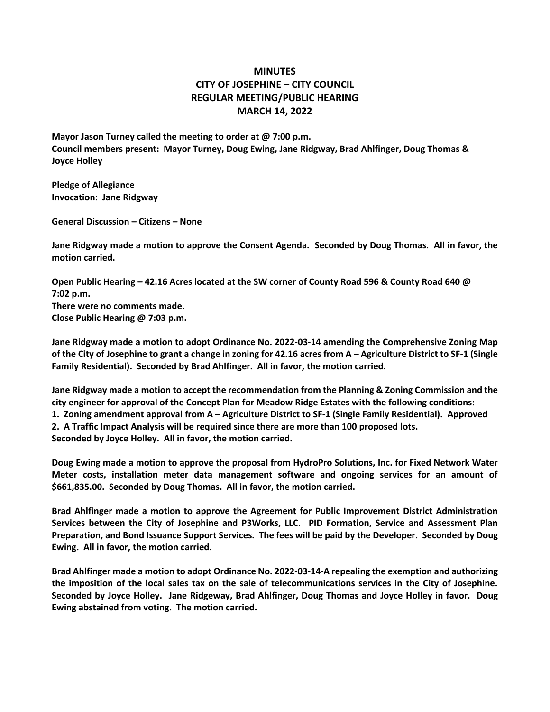## **MINUTES CITY OF JOSEPHINE – CITY COUNCIL REGULAR MEETING/PUBLIC HEARING MARCH 14, 2022**

**Mayor Jason Turney called the meeting to order at @ 7:00 p.m. Council members present: Mayor Turney, Doug Ewing, Jane Ridgway, Brad Ahlfinger, Doug Thomas & Joyce Holley**

**Pledge of Allegiance Invocation: Jane Ridgway**

**General Discussion – Citizens – None**

**Jane Ridgway made a motion to approve the Consent Agenda. Seconded by Doug Thomas. All in favor, the motion carried.**

**Open Public Hearing – 42.16 Acres located at the SW corner of County Road 596 & County Road 640 @ 7:02 p.m. There were no comments made. Close Public Hearing @ 7:03 p.m.**

**Jane Ridgway made a motion to adopt Ordinance No. 2022-03-14 amending the Comprehensive Zoning Map of the City of Josephine to grant a change in zoning for 42.16 acres from A – Agriculture District to SF-1 (Single Family Residential). Seconded by Brad Ahlfinger. All in favor, the motion carried.**

**Jane Ridgway made a motion to accept the recommendation from the Planning & Zoning Commission and the city engineer for approval of the Concept Plan for Meadow Ridge Estates with the following conditions: 1. Zoning amendment approval from A – Agriculture District to SF-1 (Single Family Residential). Approved 2. A Traffic Impact Analysis will be required since there are more than 100 proposed lots. Seconded by Joyce Holley. All in favor, the motion carried.**

**Doug Ewing made a motion to approve the proposal from HydroPro Solutions, Inc. for Fixed Network Water Meter costs, installation meter data management software and ongoing services for an amount of \$661,835.00. Seconded by Doug Thomas. All in favor, the motion carried.**

**Brad Ahlfinger made a motion to approve the Agreement for Public Improvement District Administration Services between the City of Josephine and P3Works, LLC. PID Formation, Service and Assessment Plan Preparation, and Bond Issuance Support Services. The fees will be paid by the Developer. Seconded by Doug Ewing. All in favor, the motion carried.**

**Brad Ahlfinger made a motion to adopt Ordinance No. 2022-03-14-A repealing the exemption and authorizing the imposition of the local sales tax on the sale of telecommunications services in the City of Josephine. Seconded by Joyce Holley. Jane Ridgeway, Brad Ahlfinger, Doug Thomas and Joyce Holley in favor. Doug Ewing abstained from voting. The motion carried.**